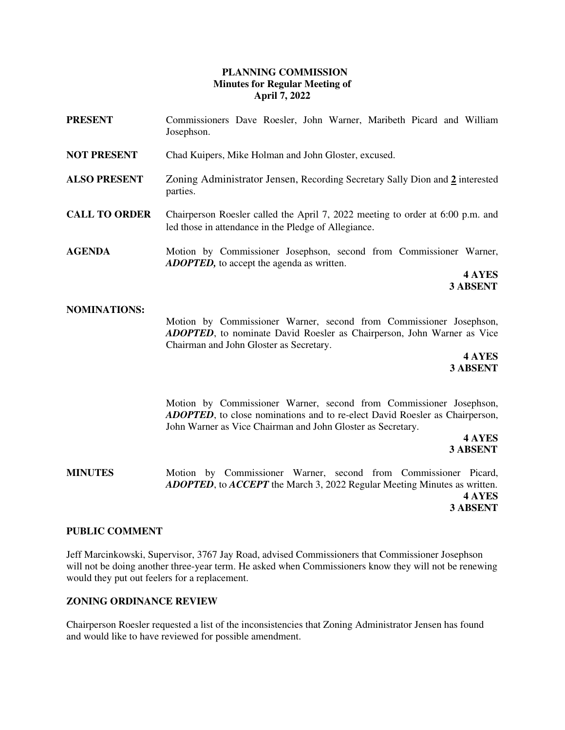# **PLANNING COMMISSION Minutes for Regular Meeting of April 7, 2022**

- **PRESENT** Commissioners Dave Roesler, John Warner, Maribeth Picard and William Josephson.
- **NOT PRESENT** Chad Kuipers, Mike Holman and John Gloster, excused.
- **ALSO PRESENT** Zoning Administrator Jensen, Recording Secretary Sally Dion and **2** interested parties.
- **CALL TO ORDER** Chairperson Roesler called the April 7, 2022 meeting to order at 6:00 p.m. and led those in attendance in the Pledge of Allegiance.
- **AGENDA** Motion by Commissioner Josephson, second from Commissioner Warner, *ADOPTED,* to accept the agenda as written.

**4 AYES 3 ABSENT** 

### **NOMINATIONS:**

Motion by Commissioner Warner, second from Commissioner Josephson, *ADOPTED*, to nominate David Roesler as Chairperson, John Warner as Vice Chairman and John Gloster as Secretary.

> **4 AYES 3 ABSENT**

Motion by Commissioner Warner, second from Commissioner Josephson, *ADOPTED*, to close nominations and to re-elect David Roesler as Chairperson, John Warner as Vice Chairman and John Gloster as Secretary.

**4 AYES 3 ABSENT**

**MINUTES** Motion by Commissioner Warner, second from Commissioner Picard, *ADOPTED*, to *ACCEPT* the March 3, 2022 Regular Meeting Minutes as written.  **4 AYES 3 ABSENT** 

### **PUBLIC COMMENT**

Jeff Marcinkowski, Supervisor, 3767 Jay Road, advised Commissioners that Commissioner Josephson will not be doing another three-year term. He asked when Commissioners know they will not be renewing would they put out feelers for a replacement.

# **ZONING ORDINANCE REVIEW**

Chairperson Roesler requested a list of the inconsistencies that Zoning Administrator Jensen has found and would like to have reviewed for possible amendment.